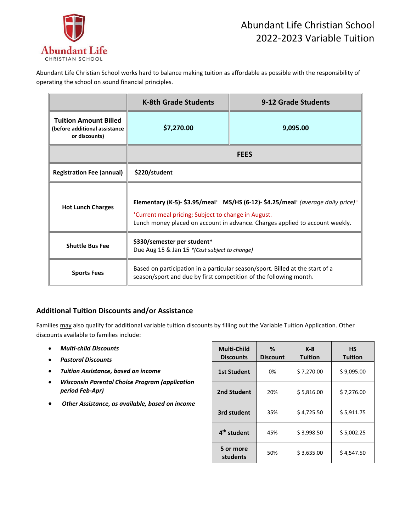

Abundant Life Christian School works hard to balance making tuition as affordable as possible with the responsibility of operating the school on sound financial principles.

|                                                                                | <b>K-8th Grade Students</b>                                                                                                                                                                                             | 9-12 Grade Students |  |
|--------------------------------------------------------------------------------|-------------------------------------------------------------------------------------------------------------------------------------------------------------------------------------------------------------------------|---------------------|--|
| <b>Tuition Amount Billed</b><br>(before additional assistance<br>or discounts) | \$7,270.00                                                                                                                                                                                                              | 9,095.00            |  |
|                                                                                | <b>FEES</b>                                                                                                                                                                                                             |                     |  |
| <b>Registration Fee (annual)</b>                                               | \$220/student                                                                                                                                                                                                           |                     |  |
| <b>Hot Lunch Charges</b>                                                       | Elementary (K-5)- \$3.95/meal* MS/HS (6-12)- \$4.25/meal* (average daily price)*<br>*Current meal pricing; Subject to change in August.<br>Lunch money placed on account in advance. Charges applied to account weekly. |                     |  |
| <b>Shuttle Bus Fee</b>                                                         | \$330/semester per student*<br>Due Aug 15 & Jan 15 * (Cost subject to change)                                                                                                                                           |                     |  |
| <b>Sports Fees</b>                                                             | Based on participation in a particular season/sport. Billed at the start of a<br>season/sport and due by first competition of the following month.                                                                      |                     |  |

## **Additional Tuition Discounts and/or Assistance**

Families may also qualify for additional variable tuition discounts by filling out the Variable Tuition Application. Other discounts available to families include:

- *Multi-child Discounts*
- *Pastoral Discounts*
- *Tuition Assistance, based on income*
- *Wisconsin Parental Choice Program (application period Feb-Apr)*
- *Other Assistance, as available, based on income*

| <b>Multi-Child</b><br><b>Discounts</b> | ℅<br><b>Discount</b> | $K-8$<br><b>Tuition</b> | НS<br><b>Tuition</b> |
|----------------------------------------|----------------------|-------------------------|----------------------|
| <b>1st Student</b>                     | 0%                   | \$7,270.00              | \$9,095.00           |
| 2nd Student                            | 20%                  | \$5,816.00              | \$7,276.00           |
| 3rd student                            | 35%                  | \$4,725.50              | \$5,911.75           |
| 4 <sup>th</sup> student                | 45%                  | \$3,998.50              | \$5,002.25           |
| 5 or more<br>students                  | 50%                  | \$3,635.00              | \$4,547.50           |